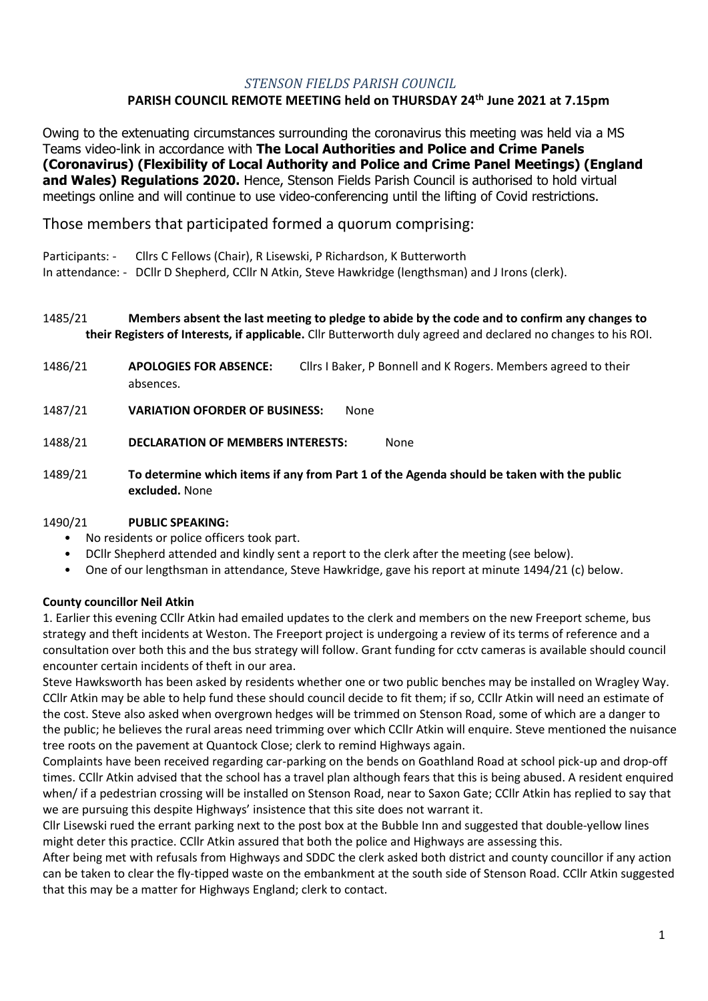#### *STENSON FIELDS PARISH COUNCIL* **PARISH COUNCIL REMOTE MEETING held on THURSDAY 24th June 2021 at 7.15pm**

Owing to the extenuating circumstances surrounding the coronavirus this meeting was held via a MS Teams video-link in accordance with **The Local Authorities and Police and Crime Panels (Coronavirus) (Flexibility of Local Authority and Police and Crime Panel Meetings) (England and Wales) Regulations 2020.** Hence, Stenson Fields Parish Council is authorised to hold virtual meetings online and will continue to use video-conferencing until the lifting of Covid restrictions.

Those members that participated formed a quorum comprising:

Participants: - Cllrs C Fellows (Chair), R Lisewski, P Richardson, K Butterworth

In attendance: - DCllr D Shepherd, CCllr N Atkin, Steve Hawkridge (lengthsman) and J Irons (clerk).

## 1485/21 **Members absent the last meeting to pledge to abide by the code and to confirm any changes to their Registers of Interests, if applicable.** Cllr Butterworth duly agreed and declared no changes to his ROI.

- 1486/21 **APOLOGIES FOR ABSENCE:** Cllrs I Baker, P Bonnell and K Rogers. Members agreed to their absences.
- 1487/21 **VARIATION OFORDER OF BUSINESS:** None
- 1488/21 **DECLARATION OF MEMBERS INTERESTS:** None
- 1489/21 **To determine which items if any from Part 1 of the Agenda should be taken with the public excluded.** None

## 1490/21 **PUBLIC SPEAKING:**

- No residents or police officers took part.
- DCllr Shepherd attended and kindly sent a report to the clerk after the meeting (see below).
- One of our lengthsman in attendance, Steve Hawkridge, gave his report at minute 1494/21 (c) below.

# **County councillor Neil Atkin**

1. Earlier this evening CCllr Atkin had emailed updates to the clerk and members on the new Freeport scheme, bus strategy and theft incidents at Weston. The Freeport project is undergoing a review of its terms of reference and a consultation over both this and the bus strategy will follow. Grant funding for cctv cameras is available should council encounter certain incidents of theft in our area.

Steve Hawksworth has been asked by residents whether one or two public benches may be installed on Wragley Way. CCllr Atkin may be able to help fund these should council decide to fit them; if so, CCllr Atkin will need an estimate of the cost. Steve also asked when overgrown hedges will be trimmed on Stenson Road, some of which are a danger to the public; he believes the rural areas need trimming over which CCllr Atkin will enquire. Steve mentioned the nuisance tree roots on the pavement at Quantock Close; clerk to remind Highways again.

Complaints have been received regarding car-parking on the bends on Goathland Road at school pick-up and drop-off times. CCllr Atkin advised that the school has a travel plan although fears that this is being abused. A resident enquired when/ if a pedestrian crossing will be installed on Stenson Road, near to Saxon Gate; CCllr Atkin has replied to say that we are pursuing this despite Highways' insistence that this site does not warrant it.

Cllr Lisewski rued the errant parking next to the post box at the Bubble Inn and suggested that double-yellow lines might deter this practice. CCllr Atkin assured that both the police and Highways are assessing this.

After being met with refusals from Highways and SDDC the clerk asked both district and county councillor if any action can be taken to clear the fly-tipped waste on the embankment at the south side of Stenson Road. CCllr Atkin suggested that this may be a matter for Highways England; clerk to contact.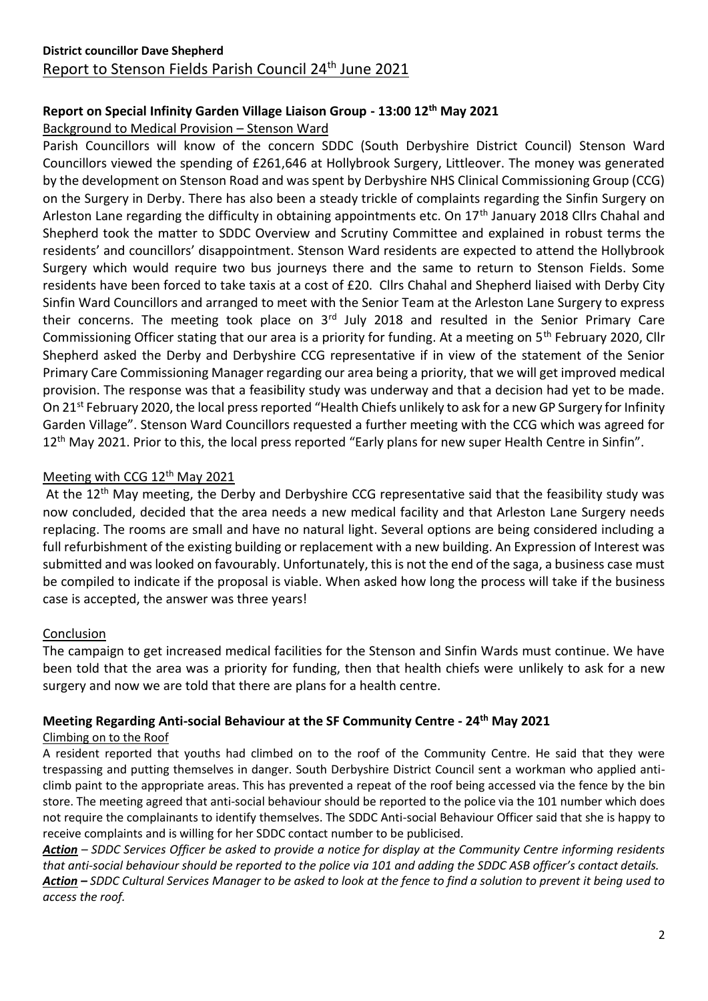# **Report on Special Infinity Garden Village Liaison Group - 13:00 12th May 2021**

# Background to Medical Provision – Stenson Ward

Parish Councillors will know of the concern SDDC (South Derbyshire District Council) Stenson Ward Councillors viewed the spending of £261,646 at Hollybrook Surgery, Littleover. The money was generated by the development on Stenson Road and was spent by Derbyshire NHS Clinical Commissioning Group (CCG) on the Surgery in Derby. There has also been a steady trickle of complaints regarding the Sinfin Surgery on Arleston Lane regarding the difficulty in obtaining appointments etc. On 17<sup>th</sup> January 2018 Cllrs Chahal and Shepherd took the matter to SDDC Overview and Scrutiny Committee and explained in robust terms the residents' and councillors' disappointment. Stenson Ward residents are expected to attend the Hollybrook Surgery which would require two bus journeys there and the same to return to Stenson Fields. Some residents have been forced to take taxis at a cost of £20. Cllrs Chahal and Shepherd liaised with Derby City Sinfin Ward Councillors and arranged to meet with the Senior Team at the Arleston Lane Surgery to express their concerns. The meeting took place on 3<sup>rd</sup> July 2018 and resulted in the Senior Primary Care Commissioning Officer stating that our area is a priority for funding. At a meeting on 5<sup>th</sup> February 2020, Cllr Shepherd asked the Derby and Derbyshire CCG representative if in view of the statement of the Senior Primary Care Commissioning Manager regarding our area being a priority, that we will get improved medical provision. The response was that a feasibility study was underway and that a decision had yet to be made. On 21st February 2020, the local press reported "Health Chiefs unlikely to ask for a new GP Surgery for Infinity Garden Village". Stenson Ward Councillors requested a further meeting with the CCG which was agreed for 12<sup>th</sup> May 2021. Prior to this, the local press reported "Early plans for new super Health Centre in Sinfin".

# Meeting with CCG 12<sup>th</sup> May 2021

At the 12<sup>th</sup> May meeting, the Derby and Derbyshire CCG representative said that the feasibility study was now concluded, decided that the area needs a new medical facility and that Arleston Lane Surgery needs replacing. The rooms are small and have no natural light. Several options are being considered including a full refurbishment of the existing building or replacement with a new building. An Expression of Interest was submitted and was looked on favourably. Unfortunately, this is not the end of the saga, a business case must be compiled to indicate if the proposal is viable. When asked how long the process will take if the business case is accepted, the answer was three years!

# Conclusion

The campaign to get increased medical facilities for the Stenson and Sinfin Wards must continue. We have been told that the area was a priority for funding, then that health chiefs were unlikely to ask for a new surgery and now we are told that there are plans for a health centre.

# **Meeting Regarding Anti-social Behaviour at the SF Community Centre - 24 th May 2021**

# Climbing on to the Roof

A resident reported that youths had climbed on to the roof of the Community Centre. He said that they were trespassing and putting themselves in danger. South Derbyshire District Council sent a workman who applied anticlimb paint to the appropriate areas. This has prevented a repeat of the roof being accessed via the fence by the bin store. The meeting agreed that anti-social behaviour should be reported to the police via the 101 number which does not require the complainants to identify themselves. The SDDC Anti-social Behaviour Officer said that she is happy to receive complaints and is willing for her SDDC contact number to be publicised.

*Action – SDDC Services Officer be asked to provide a notice for display at the Community Centre informing residents that anti-social behaviour should be reported to the police via 101 and adding the SDDC ASB officer's contact details. Action – SDDC Cultural Services Manager to be asked to look at the fence to find a solution to prevent it being used to access the roof.*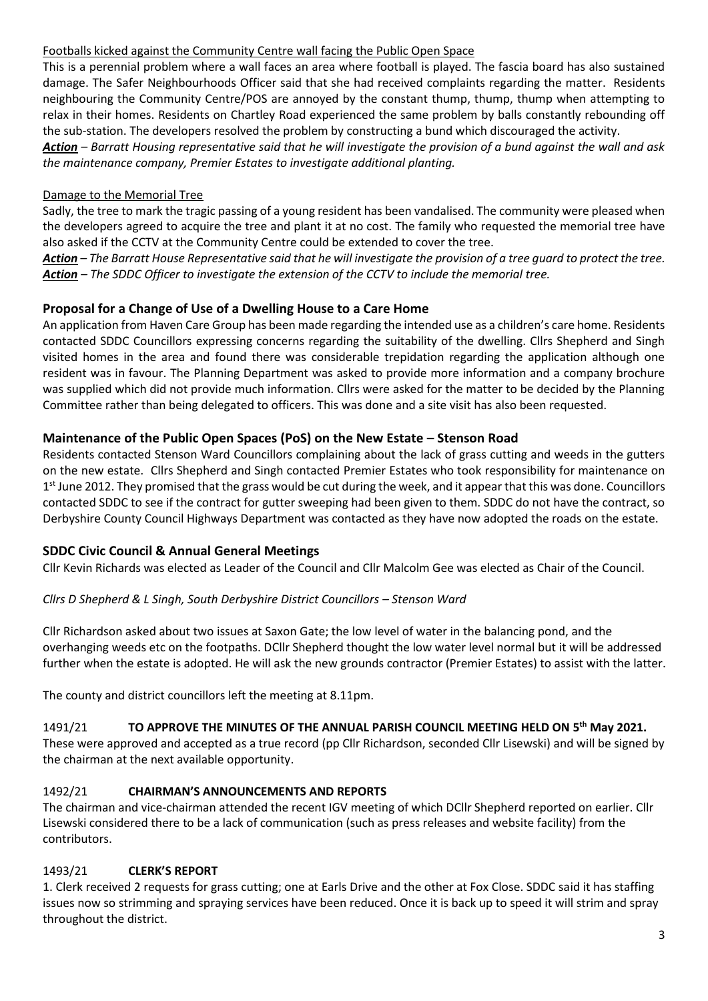## Footballs kicked against the Community Centre wall facing the Public Open Space

This is a perennial problem where a wall faces an area where football is played. The fascia board has also sustained damage. The Safer Neighbourhoods Officer said that she had received complaints regarding the matter. Residents neighbouring the Community Centre/POS are annoyed by the constant thump, thump, thump when attempting to relax in their homes. Residents on Chartley Road experienced the same problem by balls constantly rebounding off the sub-station. The developers resolved the problem by constructing a bund which discouraged the activity.

*Action – Barratt Housing representative said that he will investigate the provision of a bund against the wall and ask the maintenance company, Premier Estates to investigate additional planting.*

# Damage to the Memorial Tree

Sadly, the tree to mark the tragic passing of a young resident has been vandalised. The community were pleased when the developers agreed to acquire the tree and plant it at no cost. The family who requested the memorial tree have also asked if the CCTV at the Community Centre could be extended to cover the tree.

*Action – The Barratt House Representative said that he will investigate the provision of a tree guard to protect the tree. Action – The SDDC Officer to investigate the extension of the CCTV to include the memorial tree.*

# **Proposal for a Change of Use of a Dwelling House to a Care Home**

An application from Haven Care Group has been made regarding the intended use as a children's care home. Residents contacted SDDC Councillors expressing concerns regarding the suitability of the dwelling. Cllrs Shepherd and Singh visited homes in the area and found there was considerable trepidation regarding the application although one resident was in favour. The Planning Department was asked to provide more information and a company brochure was supplied which did not provide much information. Cllrs were asked for the matter to be decided by the Planning Committee rather than being delegated to officers. This was done and a site visit has also been requested.

# **Maintenance of the Public Open Spaces (PoS) on the New Estate – Stenson Road**

Residents contacted Stenson Ward Councillors complaining about the lack of grass cutting and weeds in the gutters on the new estate. Cllrs Shepherd and Singh contacted Premier Estates who took responsibility for maintenance on 1<sup>st</sup> June 2012. They promised that the grass would be cut during the week, and it appear that this was done. Councillors contacted SDDC to see if the contract for gutter sweeping had been given to them. SDDC do not have the contract, so Derbyshire County Council Highways Department was contacted as they have now adopted the roads on the estate.

# **SDDC Civic Council & Annual General Meetings**

Cllr Kevin Richards was elected as Leader of the Council and Cllr Malcolm Gee was elected as Chair of the Council.

## *Cllrs D Shepherd & L Singh, South Derbyshire District Councillors – Stenson Ward*

Cllr Richardson asked about two issues at Saxon Gate; the low level of water in the balancing pond, and the overhanging weeds etc on the footpaths. DCllr Shepherd thought the low water level normal but it will be addressed further when the estate is adopted. He will ask the new grounds contractor (Premier Estates) to assist with the latter.

The county and district councillors left the meeting at 8.11pm.

## 1491/21 **TO APPROVE THE MINUTES OF THE ANNUAL PARISH COUNCIL MEETING HELD ON 5 th May 2021.**

These were approved and accepted as a true record (pp Cllr Richardson, seconded Cllr Lisewski) and will be signed by the chairman at the next available opportunity.

## 1492/21 **CHAIRMAN'S ANNOUNCEMENTS AND REPORTS**

The chairman and vice-chairman attended the recent IGV meeting of which DCllr Shepherd reported on earlier. Cllr Lisewski considered there to be a lack of communication (such as press releases and website facility) from the contributors.

## 1493/21 **CLERK'S REPORT**

1. Clerk received 2 requests for grass cutting; one at Earls Drive and the other at Fox Close. SDDC said it has staffing issues now so strimming and spraying services have been reduced. Once it is back up to speed it will strim and spray throughout the district.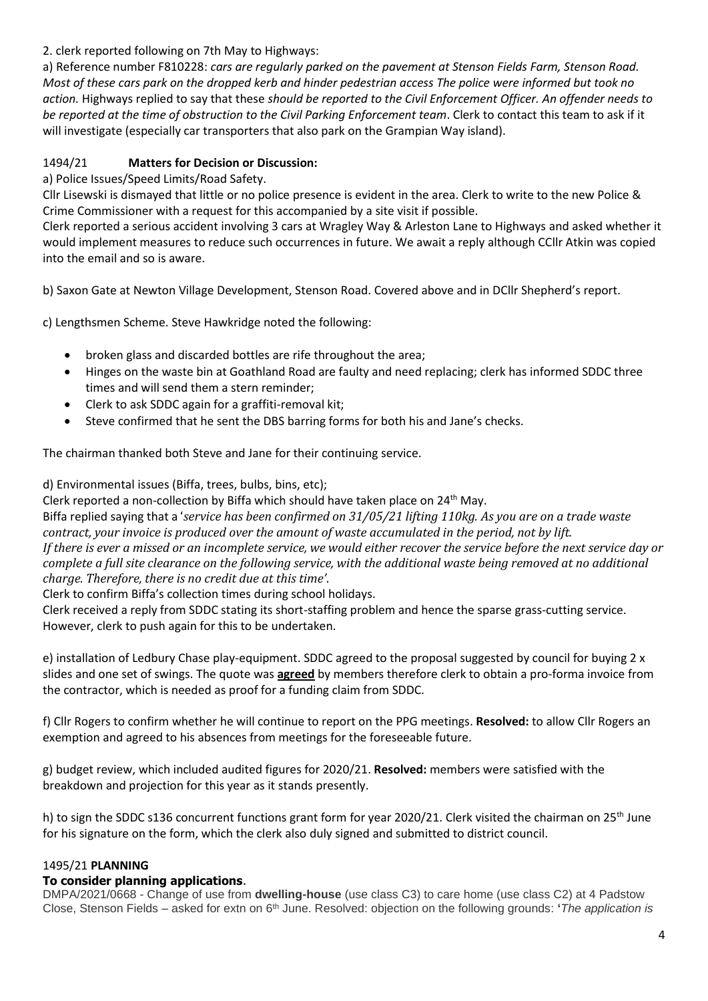2. clerk reported following on 7th May to Highways:

a) Reference number F810228: *cars are regularly parked on the pavement at Stenson Fields Farm, Stenson Road. Most of these cars park on the dropped kerb and hinder pedestrian access The police were informed but took no action.* Highways replied to say that these *should be reported to the Civil Enforcement Officer. An offender needs to be reported at the time of obstruction to the Civil Parking Enforcement team*. Clerk to contact this team to ask if it will investigate (especially car transporters that also park on the Grampian Way island).

# 1494/21 **Matters for Decision or Discussion:**

a) Police Issues/Speed Limits/Road Safety.

Cllr Lisewski is dismayed that little or no police presence is evident in the area. Clerk to write to the new Police & Crime Commissioner with a request for this accompanied by a site visit if possible.

Clerk reported a serious accident involving 3 cars at Wragley Way & Arleston Lane to Highways and asked whether it would implement measures to reduce such occurrences in future. We await a reply although CCllr Atkin was copied into the email and so is aware.

b) Saxon Gate at Newton Village Development, Stenson Road. Covered above and in DCllr Shepherd's report.

c) Lengthsmen Scheme. Steve Hawkridge noted the following:

- broken glass and discarded bottles are rife throughout the area;
- Hinges on the waste bin at Goathland Road are faulty and need replacing; clerk has informed SDDC three times and will send them a stern reminder;
- Clerk to ask SDDC again for a graffiti-removal kit;
- Steve confirmed that he sent the DBS barring forms for both his and Jane's checks.

The chairman thanked both Steve and Jane for their continuing service.

d) Environmental issues (Biffa, trees, bulbs, bins, etc);

Clerk reported a non-collection by Biffa which should have taken place on 24th May.

Biffa replied saying that a '*service has been confirmed on 31/05/21 lifting 110kg. As you are on a trade waste contract, your invoice is produced over the amount of waste accumulated in the period, not by lift. If there is ever a missed or an incomplete service, we would either recover the service before the next service day or complete a full site clearance on the following service, with the additional waste being removed at no additional charge. Therefore, there is no credit due at this time'*.

Clerk to confirm Biffa's collection times during school holidays.

Clerk received a reply from SDDC stating its short-staffing problem and hence the sparse grass-cutting service. However, clerk to push again for this to be undertaken.

e) installation of Ledbury Chase play-equipment. SDDC agreed to the proposal suggested by council for buying 2 x slides and one set of swings. The quote was **agreed** by members therefore clerk to obtain a pro-forma invoice from the contractor, which is needed as proof for a funding claim from SDDC.

f) Cllr Rogers to confirm whether he will continue to report on the PPG meetings. **Resolved:** to allow Cllr Rogers an exemption and agreed to his absences from meetings for the foreseeable future.

g) budget review, which included audited figures for 2020/21. **Resolved:** members were satisfied with the breakdown and projection for this year as it stands presently.

h) to sign the SDDC s136 concurrent functions grant form for year 2020/21. Clerk visited the chairman on 25<sup>th</sup> June for his signature on the form, which the clerk also duly signed and submitted to district council.

## 1495/21 **PLANNING**

## **To consider planning applications**.

DMPA/2021/0668 - Change of use from **dwelling-house** (use class C3) to care home (use class C2) at 4 Padstow Close, Stenson Fields – asked for extn on 6th June. Resolved: objection on the following grounds: **'***The application is*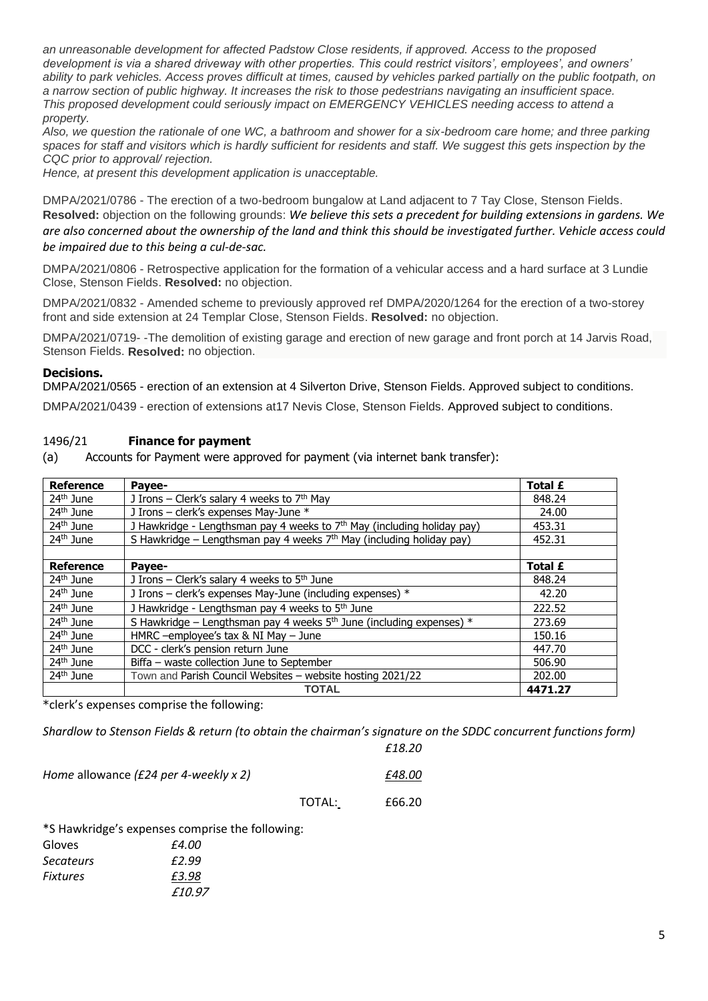*an unreasonable development for affected Padstow Close residents, if approved. Access to the proposed development is via a shared driveway with other properties. This could restrict visitors', employees', and owners'*  ability to park vehicles. Access proves difficult at times, caused by vehicles parked partially on the public footpath, on *a narrow section of public highway. It increases the risk to those pedestrians navigating an insufficient space. This proposed development could seriously impact on EMERGENCY VEHICLES needing access to attend a property.*

*Also, we question the rationale of one WC, a bathroom and shower for a six-bedroom care home; and three parking spaces for staff and visitors which is hardly sufficient for residents and staff. We suggest this gets inspection by the CQC prior to approval/ rejection.*

*Hence, at present this development application is unacceptable.*

DMPA/2021/0786 - The erection of a two-bedroom bungalow at Land adjacent to 7 Tay Close, Stenson Fields. **Resolved:** objection on the following grounds: *We believe this sets a precedent for building extensions in gardens. We are also concerned about the ownership of the land and think this should be investigated further. Vehicle access could be impaired due to this being a cul-de-sac.* 

DMPA/2021/0806 - Retrospective application for the formation of a vehicular access and a hard surface at 3 Lundie Close, Stenson Fields. **Resolved:** no objection.

DMPA/2021/0832 - Amended scheme to previously approved ref DMPA/2020/1264 for the erection of a two-storey front and side extension at 24 Templar Close, Stenson Fields. **Resolved:** no objection.

DMPA/2021/0719- -The demolition of existing garage and erection of new garage and front porch at 14 Jarvis Road, Stenson Fields. **Resolved:** no objection.

#### **Decisions.**

DMPA/2021/0565 - erection of an extension at 4 Silverton Drive, Stenson Fields. Approved subject to conditions.

DMPA/2021/0439 - erection of extensions at17 Nevis Close, Stenson Fields. Approved subject to conditions.

#### 1496/21 **Finance for payment**

(a) Accounts for Payment were approved for payment (via internet bank transfer):

| <b>Reference</b>      | Pavee-                                                                  | Total £        |
|-----------------------|-------------------------------------------------------------------------|----------------|
| 24 <sup>th</sup> June | J Irons - Clerk's salary 4 weeks to 7th May                             | 848.24         |
| 24 <sup>th</sup> June | J Irons - clerk's expenses May-June *                                   | 24.00          |
| 24 <sup>th</sup> June | J Hawkridge - Lengthsman pay 4 weeks to 7th May (including holiday pay) | 453.31         |
| 24 <sup>th</sup> June | S Hawkridge – Lengthsman pay 4 weeks $7th$ May (including holiday pay)  | 452.31         |
|                       |                                                                         |                |
| <b>Reference</b>      | Payee-                                                                  | <b>Total £</b> |
| 24 <sup>th</sup> June | J Irons - Clerk's salary 4 weeks to 5 <sup>th</sup> June                | 848.24         |
| 24 <sup>th</sup> June | J Irons - clerk's expenses May-June (including expenses) *              | 42.20          |
| 24 <sup>th</sup> June | J Hawkridge - Lengthsman pay 4 weeks to 5 <sup>th</sup> June            | 222.52         |
| 24 <sup>th</sup> June | S Hawkridge – Lengthsman pay 4 weeks $5th$ June (including expenses) *  | 273.69         |
| 24 <sup>th</sup> June | HMRC -employee's tax & NI May - June                                    | 150.16         |
| 24 <sup>th</sup> June | DCC - clerk's pension return June                                       | 447.70         |
| 24 <sup>th</sup> June | Biffa - waste collection June to September                              | 506.90         |
| 24 <sup>th</sup> June | Town and Parish Council Websites - website hosting 2021/22              | 202.00         |
|                       | <b>TOTAL</b>                                                            | 4471.27        |

\*clerk's expenses comprise the following:

*Shardlow to Stenson Fields & return (to obtain the chairman's signature on the SDDC concurrent functions form)*

*£18.20* 

| Home allowance (£24 per 4-weekly x 2) |        | £48.00 |
|---------------------------------------|--------|--------|
|                                       | TOTAL: | £66.20 |

\*S Hawkridge's expenses comprise the following:

| Gloves           | £4.00  |
|------------------|--------|
| <b>Secateurs</b> | £2.99  |
| <b>Fixtures</b>  | £3.98  |
|                  | £10.97 |